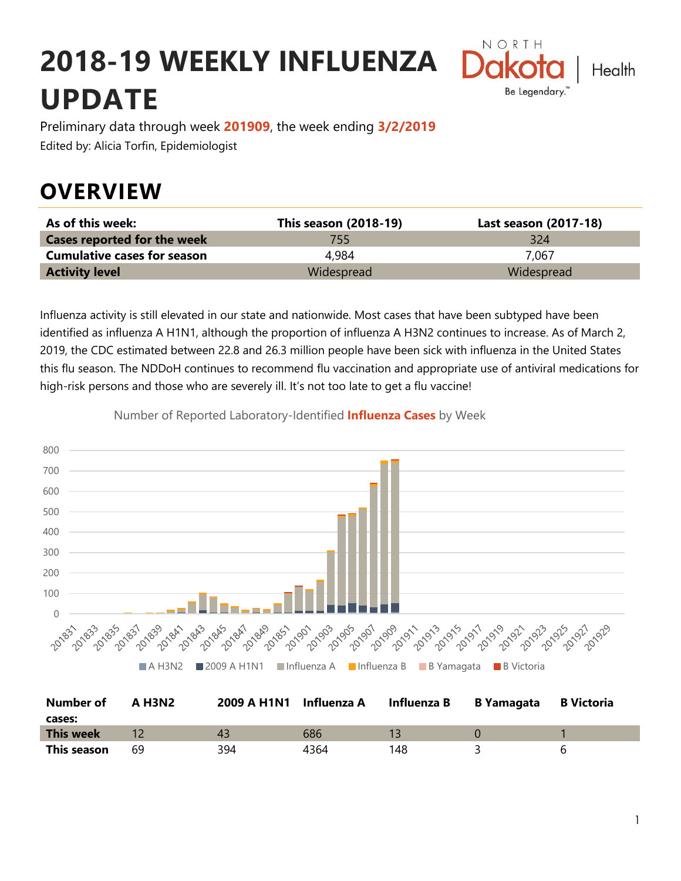# **2018-19 WEEKLY INFLUENZA UPDATE**



Preliminary data through week **201909**, the week ending **3/2/2019** Edited by: Alicia Torfin, Epidemiologist

### **OVERVIEW**

| As of this week:                   | This season (2018-19) | Last season (2017-18) |
|------------------------------------|-----------------------|-----------------------|
| <b>Cases reported for the week</b> | 755.                  | 324                   |
| <b>Cumulative cases for season</b> | 4.984                 | 7.067                 |
| <b>Activity level</b>              | Widespread            | Widespread            |

Influenza activity is still elevated in our state and nationwide. Most cases that have been subtyped have been identified as influenza A H1N1, although the proportion of influenza A H3N2 continues to increase. As of March 2, 2019, the CDC estimated between 22.8 and 26.3 million people have been sick with influenza in the United States this flu season. The NDDoH continues to recommend flu vaccination and appropriate use of antiviral medications for high-risk persons and those who are severely ill. It's not too late to get a flu vaccine!



Number of Reported Laboratory-Identified **Influenza Cases** by Week

| <b>Number of</b> | A H3N2 |     | 2009 A H1N1 Influenza A Influenza B B Yamagata B Victoria |     |    |
|------------------|--------|-----|-----------------------------------------------------------|-----|----|
| cases:           |        |     |                                                           |     |    |
| <b>This week</b> |        |     | 686                                                       |     |    |
| This season      | 69     | 394 | 4364                                                      | 148 | 'n |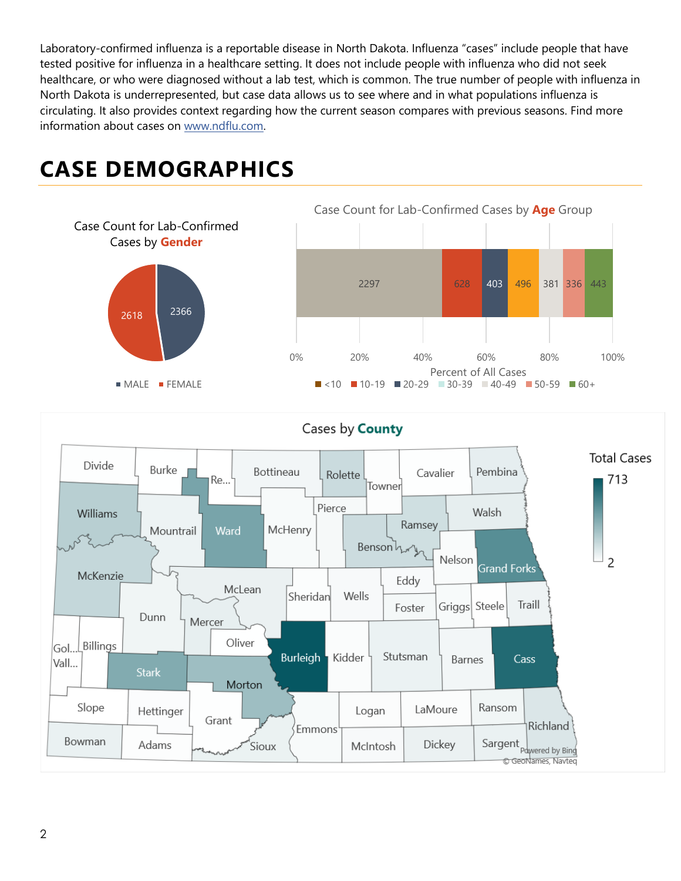Laboratory-confirmed influenza is a reportable disease in North Dakota. Influenza "cases" include people that have tested positive for influenza in a healthcare setting. It does not include people with influenza who did not seek healthcare, or who were diagnosed without a lab test, which is common. The true number of people with influenza in North Dakota is underrepresented, but case data allows us to see where and in what populations influenza is circulating. It also provides context regarding how the current season compares with previous seasons. Find more information about cases on [www.ndflu.com.](file://///nd.gov/doh/DOH-DATA/MSS/DC/PROGRAM/IMMUNE/Immunize/Influenza/Inf18-19/Surveillance/Weekly%20Summaries/www.ndflu.com)

## **CASE DEMOGRAPHICS**





#### Cases by **County**

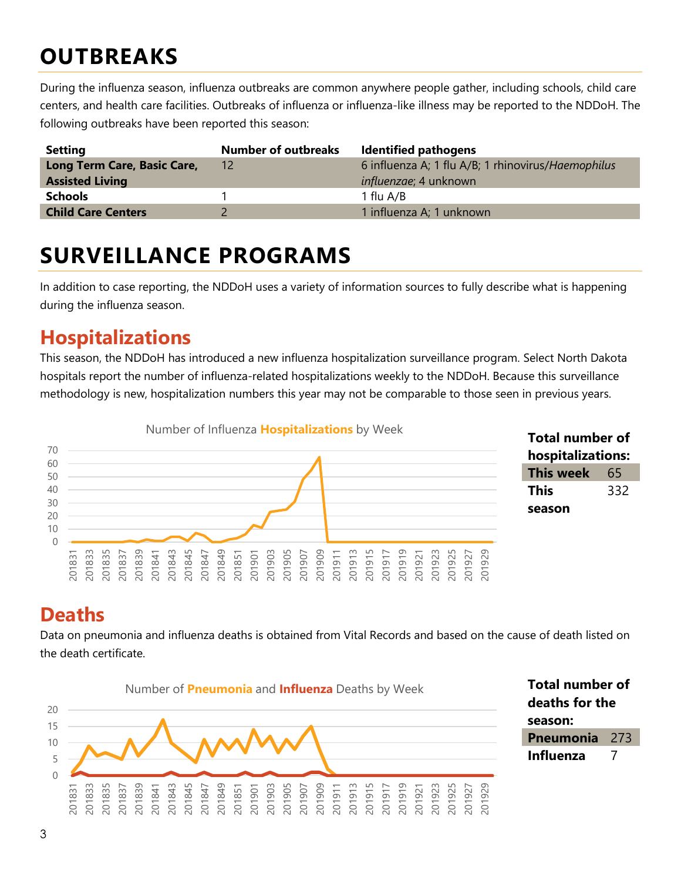## **OUTBREAKS**

During the influenza season, influenza outbreaks are common anywhere people gather, including schools, child care centers, and health care facilities. Outbreaks of influenza or influenza-like illness may be reported to the NDDoH. The following outbreaks have been reported this season:

| <b>Setting</b>              | <b>Number of outbreaks</b> | <b>Identified pathogens</b>                        |
|-----------------------------|----------------------------|----------------------------------------------------|
| Long Term Care, Basic Care, | 12                         | 6 influenza A; 1 flu A/B; 1 rhinovirus/Haemophilus |
| <b>Assisted Living</b>      |                            | <i>influenzae</i> ; 4 unknown                      |
| <b>Schools</b>              |                            | 1 flu A/B                                          |
| <b>Child Care Centers</b>   |                            | 1 influenza A; 1 unknown                           |

### **SURVEILLANCE PROGRAMS**

In addition to case reporting, the NDDoH uses a variety of information sources to fully describe what is happening during the influenza season.

#### **Hospitalizations**

This season, the NDDoH has introduced a new influenza hospitalization surveillance program. Select North Dakota hospitals report the number of influenza-related hospitalizations weekly to the NDDoH. Because this surveillance methodology is new, hospitalization numbers this year may not be comparable to those seen in previous years.



#### **Total number of hospitalizations: This week** 65 **This season**

### **Deaths**

Data on pneumonia and influenza deaths is obtained from Vital Records and based on the cause of death listed on the death certificate.



**Total number of deaths for the season: Pneumonia** 273 **Influenza** 7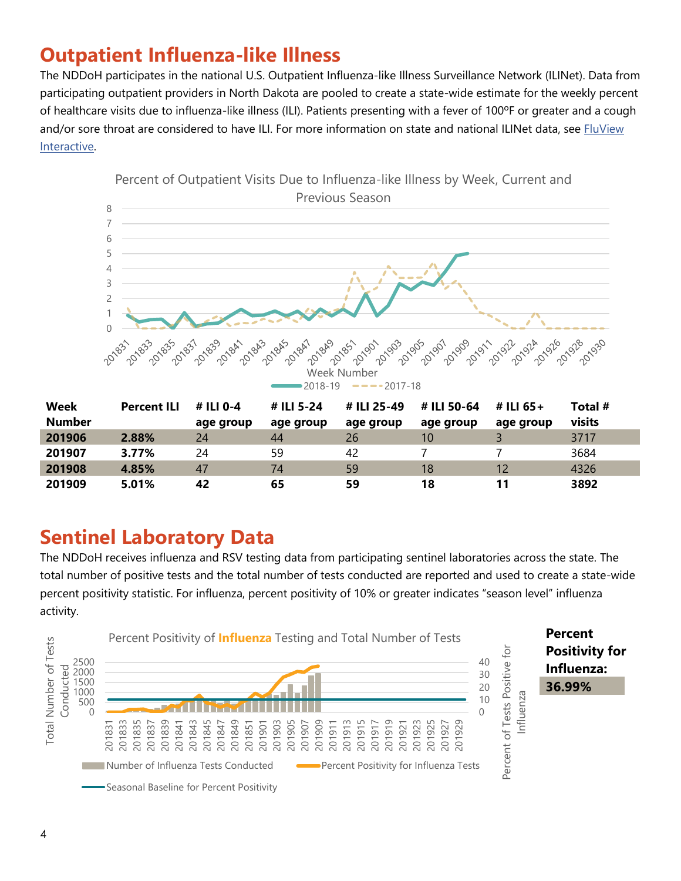### **Outpatient Influenza-like Illness**

The NDDoH participates in the national U.S. Outpatient Influenza-like Illness Surveillance Network (ILINet). Data from participating outpatient providers in North Dakota are pooled to create a state-wide estimate for the weekly percent of healthcare visits due to influenza-like illness (ILI). Patients presenting with a fever of 100ºF or greater and a cough and/or sore throat are considered to have ILI. For more information on state and national ILINet data, see FluView [Interactive.](https://gis.cdc.gov/grasp/fluview/fluportaldashboard.html)



**Sentinel Laboratory Data**

The NDDoH receives influenza and RSV testing data from participating sentinel laboratories across the state. The total number of positive tests and the total number of tests conducted are reported and used to create a state-wide percent positivity statistic. For influenza, percent positivity of 10% or greater indicates "season level" influenza activity.

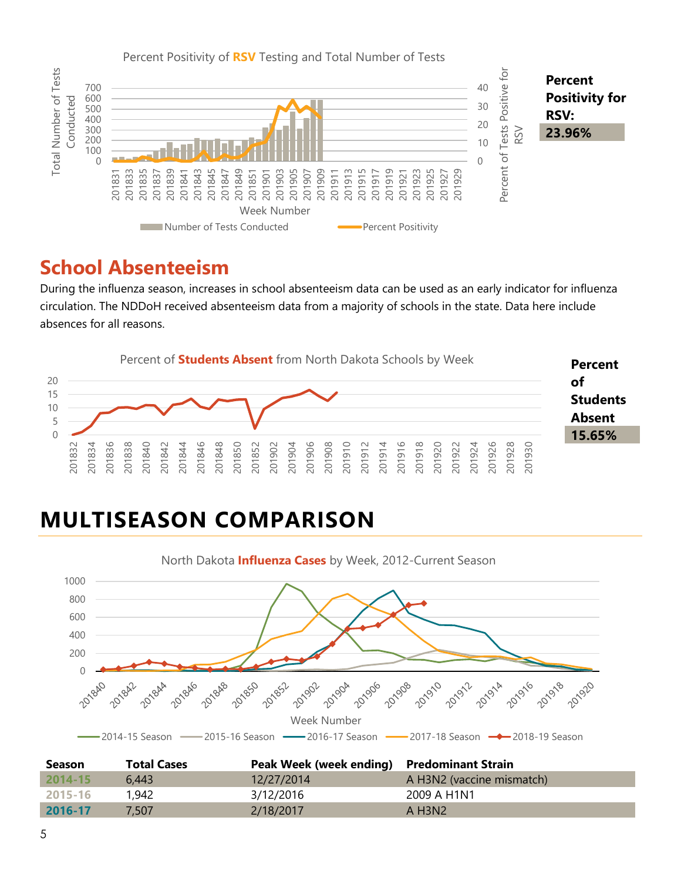

#### **School Absenteeism**

During the influenza season, increases in school absenteeism data can be used as an early indicator for influenza circulation. The NDDoH received absenteeism data from a majority of schools in the state. Data here include absences for all reasons.



## **MULTISEASON COMPARISON**



| <b>Season</b> | <b>Total Cases</b> | Peak Week (week ending) Predominant Strain |                           |
|---------------|--------------------|--------------------------------------------|---------------------------|
| $2014 - 15$   | 6.443              | 12/27/2014                                 | A H3N2 (vaccine mismatch) |
| 2015-16       | 1,942              | 3/12/2016                                  | 2009 A H1N1               |
| 2016-17       | 7.507              | 2/18/2017                                  | A H3N2                    |